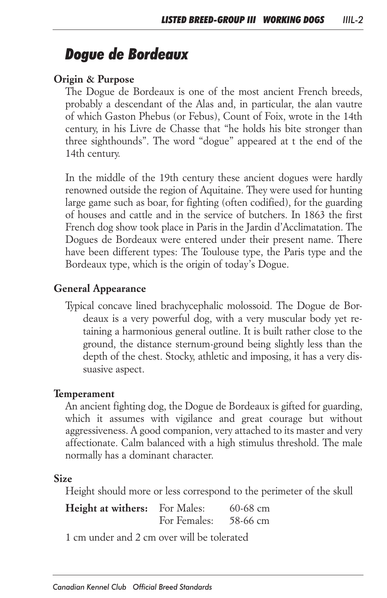# *Dogue de Bordeaux*

#### *Origin & Purpose*

*The Dogue de Bordeaux is one of the most ancient French breeds, probably a descendant of the Alas and, in particular, the alan vautre of which Gaston Phebus (or Febus), Count of Foix, wrote in the 14th century, in his Livre de Chasse that "he holds his bite stronger than*  three sighthounds". The word "dogue" appeared at t the end of the *14th century.*

In the middle of the 19th century these ancient dogues were hardly *renowned outside the region of Aquitaine. They were used for hunting*  large game such as boar, for fighting (often codified), for the guarding *of houses and cattle and in the service of butchers. In 1863 the first French dog show took place in Paris in the Jardin d'Acclimatation. The Dogues de Bordeaux were entered under their present name. There*  have been different types: The Toulouse type, the Paris type and the *Bordeaux type, which is the origin of today's Dogue.*

#### *General Appearance*

*Typical concave lined brachycephalic molossoid. The Dogue de Bordeaux is a very powerful dog, with a very muscular body yet retaining a harmonious general outline. It is built rather close to the ground, the distance sternum-ground being slightly less than the depth of the chest. Stocky, athletic and imposing, it has a very dissuasive aspect.*

#### *Temperament*

*An ancient fighting dog, the Dogue de Bordeaux is gifted for guarding,*  which it assumes with vigilance and great courage but without *aggressiveness. A good companion, very attached to its master and very affectionate. Calm balanced with a high stimulus threshold. The male normally has a dominant character.*

#### *Size*

*Height should more or less correspond to the perimeter of the skull*

*Height at withers: For Males: 60-68 cm For Females: 58-66 cm*

*1 cm under and 2 cm over will be tolerated*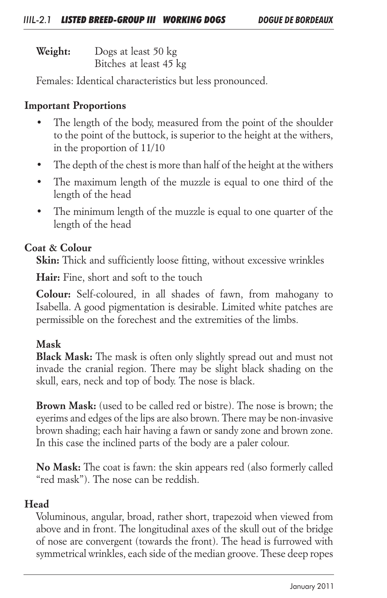*Weight: Dogs at least 50 kg Bitches at least 45 kg*

*Females: Identical characteristics but less pronounced.*

# *Important Proportions*

- The length of the body, measured from the point of the shoulder *to the point of the buttock, is superior to the height at the withers, in the proportion of 11/10*
- *• The depth of the chest is more than half of the height at the withers*
- The maximum length of the muzzle is equal to one third of the *length of the head*
- *• The minimum length of the muzzle is equal to one quarter of the length of the head*

# *Coat & Colour*

*Skin: Thick and sufficiently loose fitting, without excessive wrinkles*

*Hair: Fine, short and soft to the touch*

*Colour: Self-coloured, in all shades of fawn, from mahogany to Isabella. A good pigmentation is desirable. Limited white patches are permissible on the forechest and the extremities of the limbs.*

# *Mask*

*Black Mask: The mask is often only slightly spread out and must not*  invade the cranial region. There may be slight black shading on the *skull, ears, neck and top of body. The nose is black.*

*Brown Mask: (used to be called red or bistre). The nose is brown; the eyerims and edges of the lips are also brown. There may be non-invasive brown shading; each hair having a fawn or sandy zone and brown zone. In this case the inclined parts of the body are a paler colour.*

*No Mask: The coat is fawn: the skin appears red (also formerly called "red mask"). The nose can be reddish.*

# *Head*

*Voluminous, angular, broad, rather short, trapezoid when viewed from above and in front. The longitudinal axes of the skull out of the bridge of nose are convergent (towards the front). The head is furrowed with symmetrical wrinkles, each side of the median groove. These deep ropes*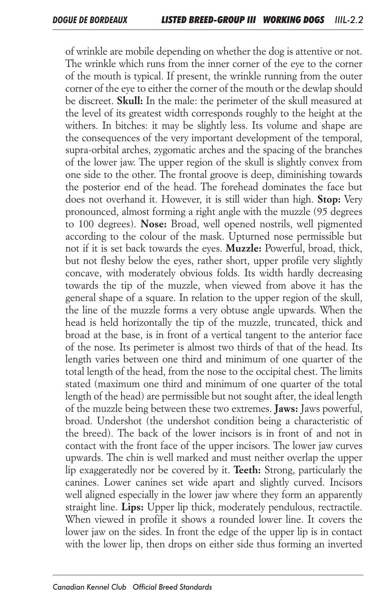*of wrinkle are mobile depending on whether the dog is attentive or not.*  The wrinkle which runs from the inner corner of the eye to the corner *of the mouth is typical. If present, the wrinkle running from the outer corner of the eye to either the corner of the mouth or the dewlap should be discreet. Skull: In the male: the perimeter of the skull measured at*  the level of its greatest width corresponds roughly to the height at the withers. In bitches: it may be slightly less. Its volume and shape are *the consequences of the very important development of the temporal, supra-orbital arches, zygomatic arches and the spacing of the branches of the lower jaw. The upper region of the skull is slightly convex from one side to the other. The frontal groove is deep, diminishing towards the posterior end of the head. The forehead dominates the face but does not overhand it. However, it is still wider than high. Stop: Very pronounced, almost forming a right angle with the muzzle (95 degrees to 100 degrees). Nose: Broad, well opened nostrils, well pigmented*  according to the colour of the mask. Upturned nose permissible but *not if it is set back towards the eyes. Muzzle: Powerful, broad, thick, but not fleshy below the eyes, rather short, upper profile very slightly concave, with moderately obvious folds. Its width hardly decreasing*  towards the tip of the muzzle, when viewed from above it has the *general shape of a square. In relation to the upper region of the skull,*  the line of the muzzle forms a very obtuse angle upwards. When the *head is held horizontally the tip of the muzzle, truncated, thick and broad at the base, is in front of a vertical tangent to the anterior face of the nose. Its perimeter is almost two thirds of that of the head. Its length varies between one third and minimum of one quarter of the total length of the head, from the nose to the occipital chest. The limits stated (maximum one third and minimum of one quarter of the total length of the head) are permissible but not sought after, the ideal length of the muzzle being between these two extremes. Jaws: Jaws powerful, broad. Undershot (the undershot condition being a characteristic of*  the breed). The back of the lower incisors is in front of and not in *contact with the front face of the upper incisors. The lower jaw curves*  upwards. The chin is well marked and must neither overlap the upper *lip exaggeratedly nor be covered by it. Teeth: Strong, particularly the canines. Lower canines set wide apart and slightly curved. Incisors*  well aligned especially in the lower jaw where they form an apparently *straight line. Lips: Upper lip thick, moderately pendulous, rectractile.*  When viewed in profile it shows a rounded lower line. It covers the *lower jaw on the sides. In front the edge of the upper lip is in contact* with the lower lip, then drops on either side thus forming an inverted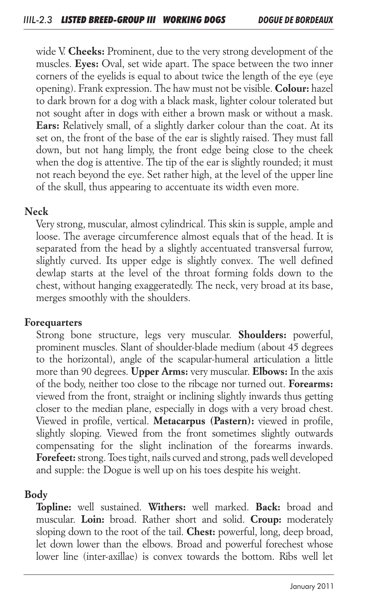*wide V. Cheeks: Prominent, due to the very strong development of the muscles. Eyes: Oval, set wide apart. The space between the two inner corners of the eyelids is equal to about twice the length of the eye (eye opening). Frank expression. The haw must not be visible. Colour: hazel to dark brown for a dog with a black mask, lighter colour tolerated but not sought after in dogs with either a brown mask or without a mask. Ears: Relatively small, of a slightly darker colour than the coat. At its set on, the front of the base of the ear is slightly raised. They must fall down, but not hang limply, the front edge being close to the cheek*  when the dog is attentive. The tip of the ear is slightly rounded; it must *not reach beyond the eye. Set rather high, at the level of the upper line of the skull, thus appearing to accentuate its width even more.*

#### *Neck*

*Very strong, muscular, almost cylindrical. This skin is supple, ample and*  loose. The average circumference almost equals that of the head. It is *separated from the head by a slightly accentuated transversal furrow, slightly curved. Its upper edge is slightly convex. The well defined*  dewlap starts at the level of the throat forming folds down to the *chest, without hanging exaggeratedly. The neck, very broad at its base, merges smoothly with the shoulders.*

#### *Forequarters*

*Strong bone structure, legs very muscular. Shoulders: powerful, prominent muscles. Slant of shoulder-blade medium (about 45 degrees to the horizontal), angle of the scapular-humeral articulation a little more than 90 degrees. Upper Arms: very muscular. Elbows: In the axis of the body, neither too close to the ribcage nor turned out. Forearms: viewed from the front, straight or inclining slightly inwards thus getting closer to the median plane, especially in dogs with a very broad chest. Viewed in profile, vertical. Metacarpus (Pastern): viewed in profile, slightly sloping. Viewed from the front sometimes slightly outwards compensating for the slight inclination of the forearms inwards. Forefeet: strong. Toes tight, nails curved and strong, pads well developed and supple: the Dogue is well up on his toes despite his weight.*

#### *Body*

*Topline: well sustained. Withers: well marked. Back: broad and muscular. Loin: broad. Rather short and solid. Croup: moderately sloping down to the root of the tail. Chest: powerful, long, deep broad, let down lower than the elbows. Broad and powerful forechest whose lower line (inter-axillae) is convex towards the bottom. Ribs well let*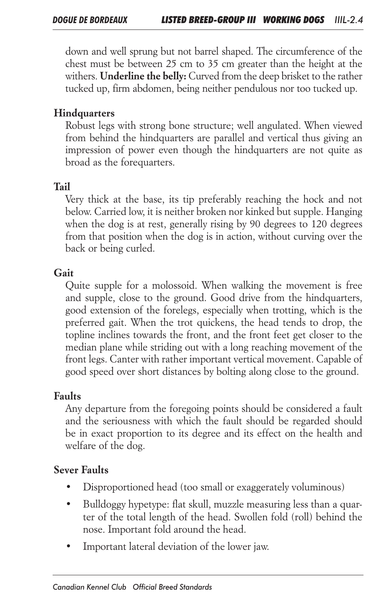down and well sprung but not barrel shaped. The circumference of the *chest must be between 25 cm to 35 cm greater than the height at the withers. Underline the belly: Curved from the deep brisket to the rather tucked up, firm abdomen, being neither pendulous nor too tucked up.*

## *Hindquarters*

*Robust legs with strong bone structure; well angulated. When viewed from behind the hindquarters are parallel and vertical thus giving an impression of power even though the hindquarters are not quite as broad as the forequarters.*

### *Tail*

*Very thick at the base, its tip preferably reaching the hock and not below. Carried low, it is neither broken nor kinked but supple. Hanging*  when the dog is at rest, generally rising by 90 degrees to 120 degrees *from that position when the dog is in action, without curving over the back or being curled.*

### *Gait*

*Quite supple for a molossoid. When walking the movement is free and supple, close to the ground. Good drive from the hindquarters, good extension of the forelegs, especially when trotting, which is the*  preferred gait. When the trot quickens, the head tends to drop, the topline inclines towards the front, and the front feet get closer to the *median plane while striding out with a long reaching movement of the front legs. Canter with rather important vertical movement. Capable of good speed over short distances by bolting along close to the ground.*

#### *Faults*

*Any departure from the foregoing points should be considered a fault*  and the seriousness with which the fault should be regarded should *be in exact proportion to its degree and its effect on the health and welfare of the dog.*

#### *Sever Faults*

- *• Disproportioned head (too small or exaggerately voluminous)*
- *• Bulldoggy hypetype: flat skull, muzzle measuring less than a quar*ter of the total length of the head. Swollen fold (roll) behind the *nose. Important fold around the head.*
- *• Important lateral deviation of the lower jaw.*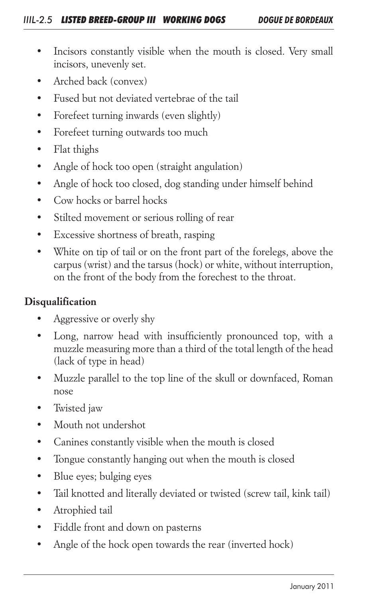- Incisors constantly visible when the mouth is closed. Very small *incisors, unevenly set.*
- *• Arched back (convex)*
- *• Fused but not deviated vertebrae of the tail*
- *• Forefeet turning inwards (even slightly)*
- *• Forefeet turning outwards too much*
- *• Flat thighs*
- *• Angle of hock too open (straight angulation)*
- *• Angle of hock too closed, dog standing under himself behind*
- *• Cow hocks or barrel hocks*
- *• Stilted movement or serious rolling of rear*
- *• Excessive shortness of breath, rasping*
- White on tip of tail or on the front part of the forelegs, above the *carpus (wrist) and the tarsus (hock) or white, without interruption, on the front of the body from the forechest to the throat.*

### *Disqualification*

- *• Aggressive or overly shy*
- *• Long, narrow head with insufficiently pronounced top, with a muzzle measuring more than a third of the total length of the head (lack of type in head)*
- *• Muzzle parallel to the top line of the skull or downfaced, Roman nose*
- *• Twisted jaw*
- *• Mouth not undershot*
- *• Canines constantly visible when the mouth is closed*
- *• Tongue constantly hanging out when the mouth is closed*
- *• Blue eyes; bulging eyes*
- *• Tail knotted and literally deviated or twisted (screw tail, kink tail)*
- *• Atrophied tail*
- *• Fiddle front and down on pasterns*
- *• Angle of the hock open towards the rear (inverted hock)*